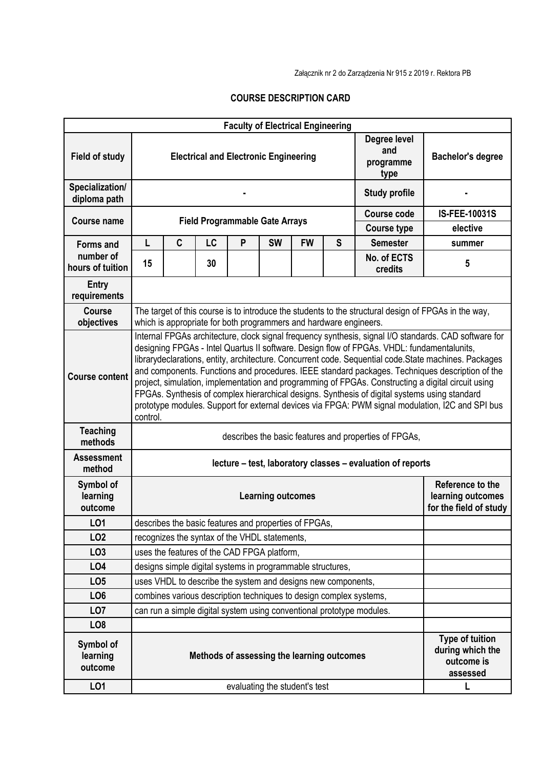Załącznik nr 2 do Zarządzenia Nr 915 z 2019 r. Rektora PB

## **COURSE DESCRIPTION CARD**

|                                  |                                                                                                                                                                                                                                                                                                                                                                                                                                                                                                                                                                                                                                                                                                                                        |   |    |   | <b>Faculty of Electrical Engineering</b>              |           |                                                                 |                                          |                          |  |  |  |
|----------------------------------|----------------------------------------------------------------------------------------------------------------------------------------------------------------------------------------------------------------------------------------------------------------------------------------------------------------------------------------------------------------------------------------------------------------------------------------------------------------------------------------------------------------------------------------------------------------------------------------------------------------------------------------------------------------------------------------------------------------------------------------|---|----|---|-------------------------------------------------------|-----------|-----------------------------------------------------------------|------------------------------------------|--------------------------|--|--|--|
| <b>Field of study</b>            |                                                                                                                                                                                                                                                                                                                                                                                                                                                                                                                                                                                                                                                                                                                                        |   |    |   | <b>Electrical and Electronic Engineering</b>          |           |                                                                 | Degree level<br>and<br>programme<br>type | <b>Bachelor's degree</b> |  |  |  |
| Specialization/<br>diploma path  |                                                                                                                                                                                                                                                                                                                                                                                                                                                                                                                                                                                                                                                                                                                                        |   |    |   |                                                       |           |                                                                 | <b>Study profile</b>                     |                          |  |  |  |
| Course name                      |                                                                                                                                                                                                                                                                                                                                                                                                                                                                                                                                                                                                                                                                                                                                        |   |    |   |                                                       |           |                                                                 | <b>Course code</b>                       | <b>IS-FEE-10031S</b>     |  |  |  |
|                                  | <b>Field Programmable Gate Arrays</b>                                                                                                                                                                                                                                                                                                                                                                                                                                                                                                                                                                                                                                                                                                  |   |    |   |                                                       |           |                                                                 | <b>Course type</b>                       | elective                 |  |  |  |
| <b>Forms and</b>                 | L                                                                                                                                                                                                                                                                                                                                                                                                                                                                                                                                                                                                                                                                                                                                      | C | LC | P | <b>SW</b>                                             | <b>FW</b> | S                                                               | <b>Semester</b>                          | summer                   |  |  |  |
| number of<br>hours of tuition    | 15                                                                                                                                                                                                                                                                                                                                                                                                                                                                                                                                                                                                                                                                                                                                     |   | 30 |   |                                                       |           |                                                                 | No. of ECTS<br>credits                   | 5                        |  |  |  |
| Entry<br>requirements            |                                                                                                                                                                                                                                                                                                                                                                                                                                                                                                                                                                                                                                                                                                                                        |   |    |   |                                                       |           |                                                                 |                                          |                          |  |  |  |
| <b>Course</b><br>objectives      | The target of this course is to introduce the students to the structural design of FPGAs in the way,<br>which is appropriate for both programmers and hardware engineers.                                                                                                                                                                                                                                                                                                                                                                                                                                                                                                                                                              |   |    |   |                                                       |           |                                                                 |                                          |                          |  |  |  |
| <b>Course content</b>            | Internal FPGAs architecture, clock signal frequency synthesis, signal I/O standards. CAD software for<br>designing FPGAs - Intel Quartus II software. Design flow of FPGAs. VHDL: fundamentalunits,<br>librarydeclarations, entity, architecture. Concurrent code. Sequential code. State machines. Packages<br>and components. Functions and procedures. IEEE standard packages. Techniques description of the<br>project, simulation, implementation and programming of FPGAs. Constructing a digital circuit using<br>FPGAs. Synthesis of complex hierarchical designs. Synthesis of digital systems using standard<br>prototype modules. Support for external devices via FPGA: PWM signal modulation, I2C and SPI bus<br>control. |   |    |   |                                                       |           |                                                                 |                                          |                          |  |  |  |
| <b>Teaching</b><br>methods       | describes the basic features and properties of FPGAs,                                                                                                                                                                                                                                                                                                                                                                                                                                                                                                                                                                                                                                                                                  |   |    |   |                                                       |           |                                                                 |                                          |                          |  |  |  |
| <b>Assessment</b><br>method      | lecture – test, laboratory classes – evaluation of reports                                                                                                                                                                                                                                                                                                                                                                                                                                                                                                                                                                                                                                                                             |   |    |   |                                                       |           |                                                                 |                                          |                          |  |  |  |
| Symbol of<br>learning<br>outcome | <b>Learning outcomes</b>                                                                                                                                                                                                                                                                                                                                                                                                                                                                                                                                                                                                                                                                                                               |   |    |   |                                                       |           | Reference to the<br>learning outcomes<br>for the field of study |                                          |                          |  |  |  |
| L01                              |                                                                                                                                                                                                                                                                                                                                                                                                                                                                                                                                                                                                                                                                                                                                        |   |    |   | describes the basic features and properties of FPGAs, |           |                                                                 |                                          |                          |  |  |  |
| LO <sub>2</sub>                  | recognizes the syntax of the VHDL statements,                                                                                                                                                                                                                                                                                                                                                                                                                                                                                                                                                                                                                                                                                          |   |    |   |                                                       |           |                                                                 |                                          |                          |  |  |  |
| LO <sub>3</sub>                  |                                                                                                                                                                                                                                                                                                                                                                                                                                                                                                                                                                                                                                                                                                                                        |   |    |   | uses the features of the CAD FPGA platform,           |           |                                                                 |                                          |                          |  |  |  |
| LO <sub>4</sub>                  | designs simple digital systems in programmable structures,                                                                                                                                                                                                                                                                                                                                                                                                                                                                                                                                                                                                                                                                             |   |    |   |                                                       |           |                                                                 |                                          |                          |  |  |  |
| LO <sub>5</sub>                  | uses VHDL to describe the system and designs new components,                                                                                                                                                                                                                                                                                                                                                                                                                                                                                                                                                                                                                                                                           |   |    |   |                                                       |           |                                                                 |                                          |                          |  |  |  |
| LO <sub>6</sub>                  | combines various description techniques to design complex systems,                                                                                                                                                                                                                                                                                                                                                                                                                                                                                                                                                                                                                                                                     |   |    |   |                                                       |           |                                                                 |                                          |                          |  |  |  |
| LO <sub>7</sub>                  | can run a simple digital system using conventional prototype modules.                                                                                                                                                                                                                                                                                                                                                                                                                                                                                                                                                                                                                                                                  |   |    |   |                                                       |           |                                                                 |                                          |                          |  |  |  |
| LO <sub>8</sub>                  |                                                                                                                                                                                                                                                                                                                                                                                                                                                                                                                                                                                                                                                                                                                                        |   |    |   |                                                       |           |                                                                 |                                          |                          |  |  |  |
| Symbol of<br>learning<br>outcome | <b>Type of tuition</b><br>Methods of assessing the learning outcomes<br>outcome is<br>assessed                                                                                                                                                                                                                                                                                                                                                                                                                                                                                                                                                                                                                                         |   |    |   |                                                       |           | during which the                                                |                                          |                          |  |  |  |
| L01                              |                                                                                                                                                                                                                                                                                                                                                                                                                                                                                                                                                                                                                                                                                                                                        |   |    |   | evaluating the student's test                         |           |                                                                 |                                          | L                        |  |  |  |